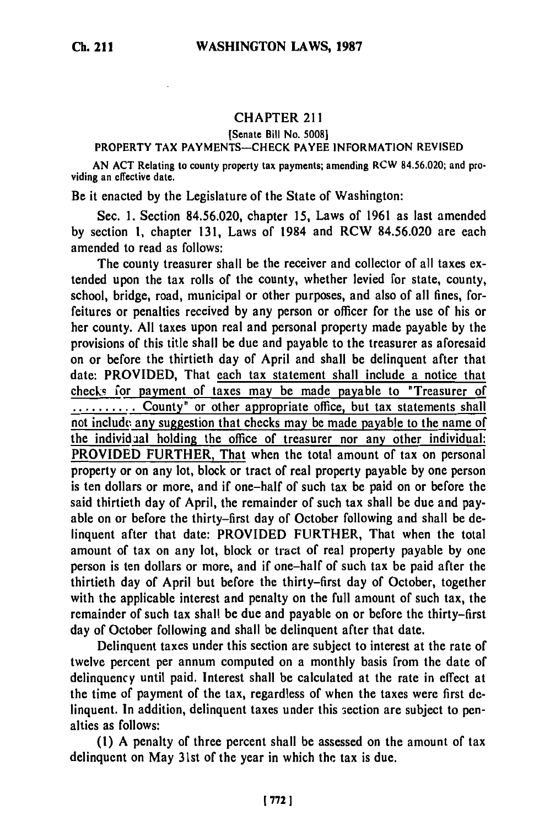## CHAPTER 211

## [Senate Bill No. **5008]**

## PROPERTY TAX PAYMENTS-CHECK PAYEE INFORMATION REVISED

AN ACT Relating to county property tax payments; amending RCW 84.56.020; and providing an effective date.

Be it enacted **by** the Legislature of the State of Washington:

Sec. **1.** Section **84.56.020,** chapter **15,** Laws of **1961** as last amended **by** section **1,** chapter **131,** Laws of 1984 and RCW **84.56.020** are each amended to read as follows:

The county treasurer shall be the receiver and collector of all taxes extended upon the tax rolls of the county, whether levied for state, county, school, bridge, road, municipal or other purposes, and also of all fines, forfeitures or penalties received **by** any person or officer for the use of his or her county. **All** taxes upon real and personal property made payable **by** the provisions of this title shall be due and payable to the treasurer as aforesaid on or before the thirtieth day of April and shall be delinquent after that date: PROVIDED, That each tax statement shall include a notice that checks for payment of taxes may be made payable to "Treasurer of **..........** County<sup>"</sup> or other appropriate office, but tax statements shall not include any suggestion that checks may be made payable to the name of the individial holding the office of treasurer nor any other individual: PROVIDED FURTHER, That when the total amount of tax on personal property or on any lot, block or tract of real property payable **by** one person is ten dollars or more, and if one-half of such tax be paid on or before the said thirtieth day of April, the remainder of such tax shall be due and payable on or before the thirty-first day of October following and shall be delinquent after that date: PROVIDED FURTHER, That when the total amount of tax on any lot, block or tract of real property payable **by** one person is ten dollars or more, and if one-half of such tax be paid after the thirtieth day of April but before the thirty-first day of October, together with the applicable interest and penalty on the full amount of such tax, the remainder of such tax shall be due and payable on or before the thirty-first day of October following and shall be delinquent after that date.

Delinquent taxes under this section are subject to interest at the rate of twelve percent per annum computed on a monthly basis from the date of delinquency until paid. Interest shall be calculated at the rate in effect at the time of payment of the tax, regardless of when the taxes were first delinquent. In addition, delinquent taxes under this 3cction are subject to penalties as follows:

**(1) A** penalty of three percent shall be assessed on the amount of tax delinquent on May 31st of the year in which the tax is due.